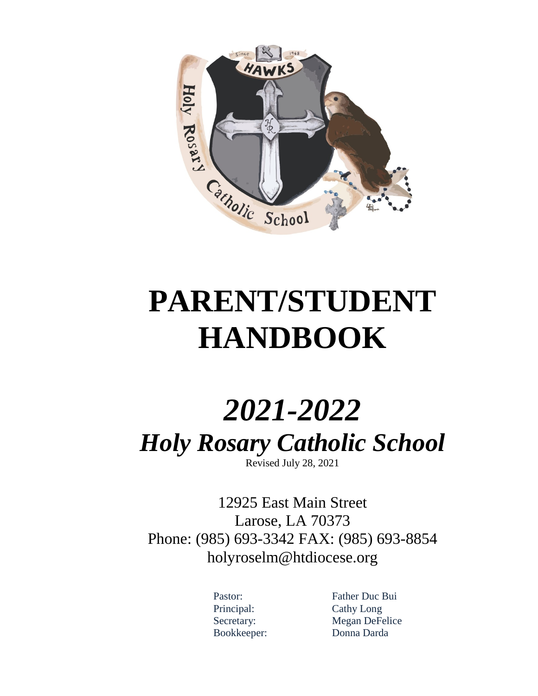

# **PARENT/STUDENT HANDBOOK**

# *2021-2022 Holy Rosary Catholic School* Revised July 28, 2021

12925 East Main Street Larose, LA 70373 Phone: (985) 693-3342 FAX: (985) 693-8854 [holyroselm@htdiocese.org](mailto:holyroselm@htdiocese.org)

Principal: Cathy Long

Pastor: Father Duc Bui Secretary: Megan DeFelice Bookkeeper: Donna Darda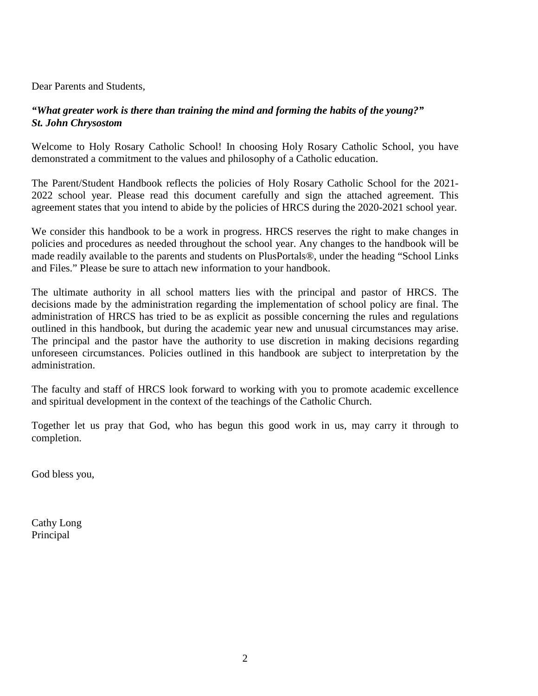Dear Parents and Students,

#### *"What greater work is there than training the mind and forming the habits of the young?" St. John Chrysostom*

Welcome to Holy Rosary Catholic School! In choosing Holy Rosary Catholic School, you have demonstrated a commitment to the values and philosophy of a Catholic education.

The Parent/Student Handbook reflects the policies of Holy Rosary Catholic School for the 2021- 2022 school year. Please read this document carefully and sign the attached agreement. This agreement states that you intend to abide by the policies of HRCS during the 2020-2021 school year.

We consider this handbook to be a work in progress. HRCS reserves the right to make changes in policies and procedures as needed throughout the school year. Any changes to the handbook will be made readily available to the parents and students on PlusPortals®, under the heading "School Links and Files." Please be sure to attach new information to your handbook.

The ultimate authority in all school matters lies with the principal and pastor of HRCS. The decisions made by the administration regarding the implementation of school policy are final. The administration of HRCS has tried to be as explicit as possible concerning the rules and regulations outlined in this handbook, but during the academic year new and unusual circumstances may arise. The principal and the pastor have the authority to use discretion in making decisions regarding unforeseen circumstances. Policies outlined in this handbook are subject to interpretation by the administration.

The faculty and staff of HRCS look forward to working with you to promote academic excellence and spiritual development in the context of the teachings of the Catholic Church.

Together let us pray that God, who has begun this good work in us, may carry it through to completion.

God bless you,

Cathy Long Principal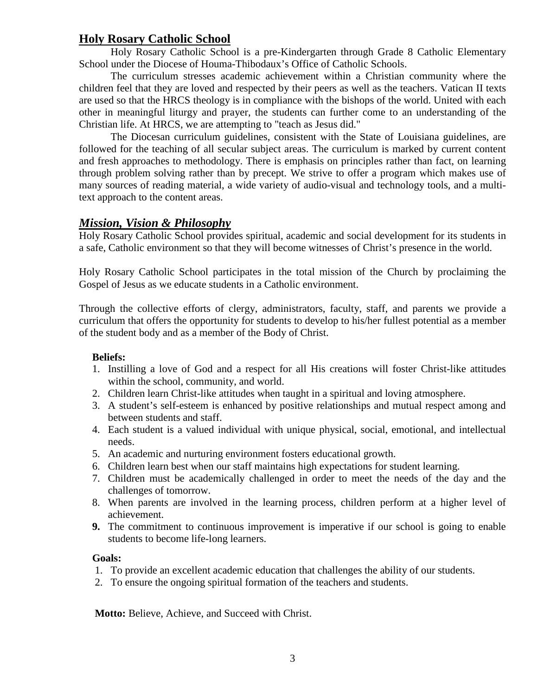#### **Holy Rosary Catholic School**

Holy Rosary Catholic School is a pre-Kindergarten through Grade 8 Catholic Elementary School under the Diocese of Houma-Thibodaux's Office of Catholic Schools.

The curriculum stresses academic achievement within a Christian community where the children feel that they are loved and respected by their peers as well as the teachers. Vatican II texts are used so that the HRCS theology is in compliance with the bishops of the world. United with each other in meaningful liturgy and prayer, the students can further come to an understanding of the Christian life. At HRCS, we are attempting to "teach as Jesus did."

The Diocesan curriculum guidelines, consistent with the State of Louisiana guidelines, are followed for the teaching of all secular subject areas. The curriculum is marked by current content and fresh approaches to methodology. There is emphasis on principles rather than fact, on learning through problem solving rather than by precept. We strive to offer a program which makes use of many sources of reading material, a wide variety of audio-visual and technology tools, and a multitext approach to the content areas.

#### *Mission, Vision & Philosophy*

Holy Rosary Catholic School provides spiritual, academic and social development for its students in a safe, Catholic environment so that they will become witnesses of Christ's presence in the world.

Holy Rosary Catholic School participates in the total mission of the Church by proclaiming the Gospel of Jesus as we educate students in a Catholic environment.

Through the collective efforts of clergy, administrators, faculty, staff, and parents we provide a curriculum that offers the opportunity for students to develop to his/her fullest potential as a member of the student body and as a member of the Body of Christ.

#### **Beliefs:**

- 1. Instilling a love of God and a respect for all His creations will foster Christ-like attitudes within the school, community, and world.
- 2. Children learn Christ-like attitudes when taught in a spiritual and loving atmosphere.
- 3. A student's self-esteem is enhanced by positive relationships and mutual respect among and between students and staff.
- 4. Each student is a valued individual with unique physical, social, emotional, and intellectual needs.
- 5. An academic and nurturing environment fosters educational growth.
- 6. Children learn best when our staff maintains high expectations for student learning.
- 7. Children must be academically challenged in order to meet the needs of the day and the challenges of tomorrow.
- 8. When parents are involved in the learning process, children perform at a higher level of achievement.
- **9.** The commitment to continuous improvement is imperative if our school is going to enable students to become life-long learners.

#### **Goals:**

- 1. To provide an excellent academic education that challenges the ability of our students.
- 2. To ensure the ongoing spiritual formation of the teachers and students.

**Motto:** Believe, Achieve, and Succeed with Christ.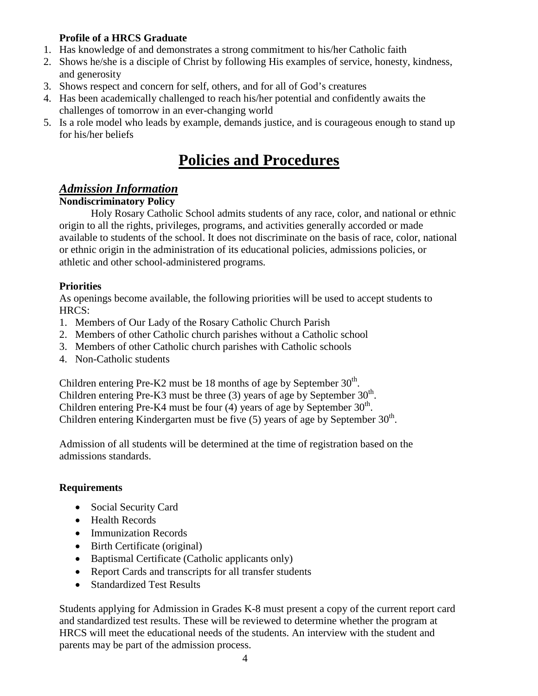#### **Profile of a HRCS Graduate**

- 1. Has knowledge of and demonstrates a strong commitment to his/her Catholic faith
- 2. Shows he/she is a disciple of Christ by following His examples of service, honesty, kindness, and generosity
- 3. Shows respect and concern for self, others, and for all of God's creatures
- 4. Has been academically challenged to reach his/her potential and confidently awaits the challenges of tomorrow in an ever-changing world
- 5. Is a role model who leads by example, demands justice, and is courageous enough to stand up for his/her beliefs

## **Policies and Procedures**

#### *Admission Information*

#### **Nondiscriminatory Policy**

Holy Rosary Catholic School admits students of any race, color, and national or ethnic origin to all the rights, privileges, programs, and activities generally accorded or made available to students of the school. It does not discriminate on the basis of race, color, national or ethnic origin in the administration of its educational policies, admissions policies, or athletic and other school-administered programs*.*

#### **Priorities**

As openings become available, the following priorities will be used to accept students to HRCS:

- 1. Members of Our Lady of the Rosary Catholic Church Parish
- 2. Members of other Catholic church parishes without a Catholic school
- 3. Members of other Catholic church parishes with Catholic schools
- 4. Non-Catholic students

Children entering Pre-K2 must be 18 months of age by September  $30<sup>th</sup>$ . Children entering Pre-K3 must be three (3) years of age by September  $30<sup>th</sup>$ . Children entering Pre-K4 must be four (4) years of age by September  $30<sup>th</sup>$ . Children entering Kindergarten must be five  $(5)$  years of age by September  $30<sup>th</sup>$ .

Admission of all students will be determined at the time of registration based on the admissions standards.

#### **Requirements**

- Social Security Card
- Health Records
- Immunization Records
- Birth Certificate (original)
- Baptismal Certificate (Catholic applicants only)
- Report Cards and transcripts for all transfer students
- Standardized Test Results

Students applying for Admission in Grades K-8 must present a copy of the current report card and standardized test results. These will be reviewed to determine whether the program at HRCS will meet the educational needs of the students. An interview with the student and parents may be part of the admission process.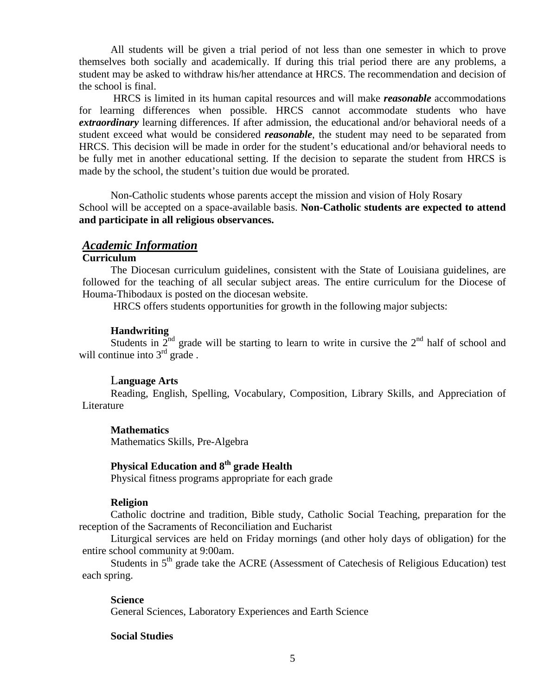All students will be given a trial period of not less than one semester in which to prove themselves both socially and academically. If during this trial period there are any problems, a student may be asked to withdraw his/her attendance at HRCS. The recommendation and decision of the school is final.

HRCS is limited in its human capital resources and will make *reasonable* accommodations for learning differences when possible. HRCS cannot accommodate students who have *extraordinary* learning differences. If after admission, the educational and/or behavioral needs of a student exceed what would be considered *reasonable*, the student may need to be separated from HRCS. This decision will be made in order for the student's educational and/or behavioral needs to be fully met in another educational setting. If the decision to separate the student from HRCS is made by the school, the student's tuition due would be prorated.

Non-Catholic students whose parents accept the mission and vision of Holy Rosary School will be accepted on a space-available basis. **Non-Catholic students are expected to attend and participate in all religious observances.**

#### *Academic Information*

#### **Curriculum**

The Diocesan curriculum guidelines, consistent with the State of Louisiana guidelines, are followed for the teaching of all secular subject areas. The entire curriculum for the Diocese of Houma-Thibodaux is posted on the diocesan website.

HRCS offers students opportunities for growth in the following major subjects:

#### **Handwriting**

Students in  $2<sup>nd</sup>$  grade will be starting to learn to write in cursive the  $2<sup>nd</sup>$  half of school and will continue into  $3<sup>rd</sup>$  grade.

#### L**anguage Arts**

Reading, English, Spelling, Vocabulary, Composition, Library Skills, and Appreciation of Literature

#### **Mathematics**

Mathematics Skills, Pre-Algebra

#### **Physical Education and 8th grade Health**

Physical fitness programs appropriate for each grade

#### **Religion**

Catholic doctrine and tradition, Bible study, Catholic Social Teaching, preparation for the reception of the Sacraments of Reconciliation and Eucharist

Liturgical services are held on Friday mornings (and other holy days of obligation) for the entire school community at 9:00am.

Students in  $5<sup>th</sup>$  grade take the ACRE (Assessment of Catechesis of Religious Education) test each spring.

#### **Science** General Sciences, Laboratory Experiences and Earth Science

#### **Social Studies**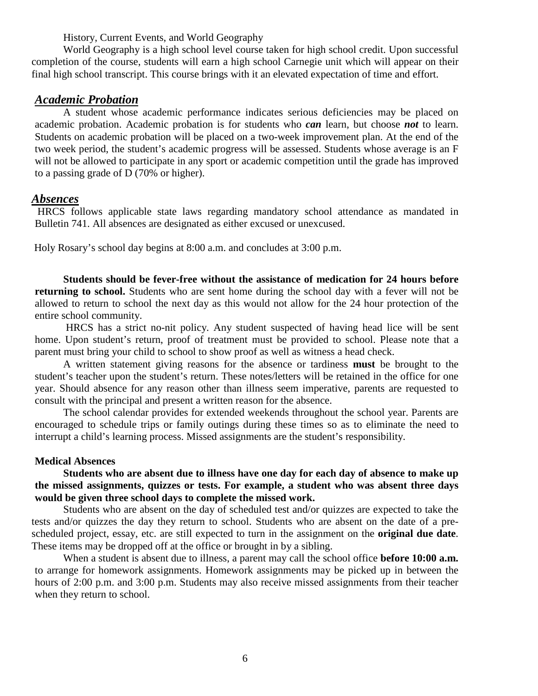History, Current Events, and World Geography

World Geography is a high school level course taken for high school credit. Upon successful completion of the course, students will earn a high school Carnegie unit which will appear on their final high school transcript. This course brings with it an elevated expectation of time and effort.

#### *Academic Probation*

A student whose academic performance indicates serious deficiencies may be placed on academic probation. Academic probation is for students who *can* learn, but choose *not* to learn. Students on academic probation will be placed on a two-week improvement plan. At the end of the two week period, the student's academic progress will be assessed. Students whose average is an F will not be allowed to participate in any sport or academic competition until the grade has improved to a passing grade of D (70% or higher).

#### *Absences*

HRCS follows applicable state laws regarding mandatory school attendance as mandated in Bulletin 741. All absences are designated as either excused or unexcused.

Holy Rosary's school day begins at 8:00 a.m. and concludes at 3:00 p.m.

**Students should be fever-free without the assistance of medication for 24 hours before returning to school.** Students who are sent home during the school day with a fever will not be allowed to return to school the next day as this would not allow for the 24 hour protection of the entire school community.

HRCS has a strict no-nit policy. Any student suspected of having head lice will be sent home. Upon student's return, proof of treatment must be provided to school. Please note that a parent must bring your child to school to show proof as well as witness a head check.

A written statement giving reasons for the absence or tardiness **must** be brought to the student's teacher upon the student's return. These notes/letters will be retained in the office for one year. Should absence for any reason other than illness seem imperative, parents are requested to consult with the principal and present a written reason for the absence.

The school calendar provides for extended weekends throughout the school year. Parents are encouraged to schedule trips or family outings during these times so as to eliminate the need to interrupt a child's learning process. Missed assignments are the student's responsibility.

#### **Medical Absences**

**Students who are absent due to illness have one day for each day of absence to make up the missed assignments, quizzes or tests. For example, a student who was absent three days would be given three school days to complete the missed work.**

Students who are absent on the day of scheduled test and/or quizzes are expected to take the tests and/or quizzes the day they return to school. Students who are absent on the date of a prescheduled project, essay, etc. are still expected to turn in the assignment on the **original due date**. These items may be dropped off at the office or brought in by a sibling.

When a student is absent due to illness, a parent may call the school office **before 10:00 a.m.** to arrange for homework assignments. Homework assignments may be picked up in between the hours of 2:00 p.m. and 3:00 p.m. Students may also receive missed assignments from their teacher when they return to school.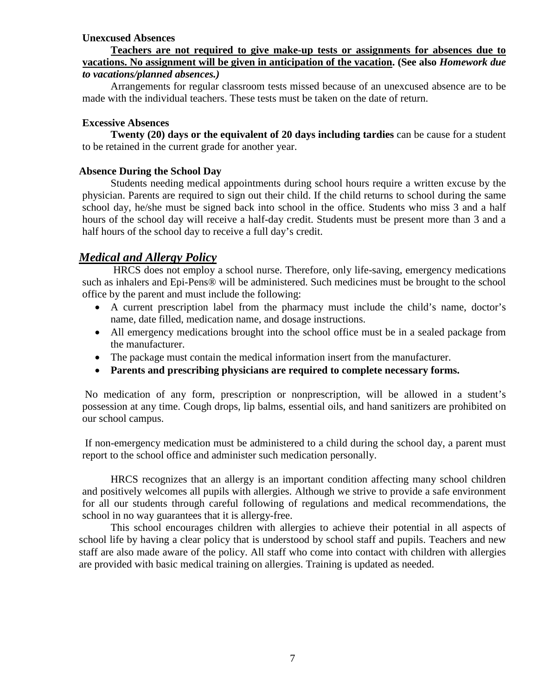#### **Unexcused Absences**

#### **Teachers are not required to give make-up tests or assignments for absences due to vacations. No assignment will be given in anticipation of the vacation. (See also** *Homework due to vacations/planned absences.)*

Arrangements for regular classroom tests missed because of an unexcused absence are to be made with the individual teachers. These tests must be taken on the date of return.

#### **Excessive Absences**

**Twenty (20) days or the equivalent of 20 days including tardies** can be cause for a student to be retained in the current grade for another year.

#### **Absence During the School Day**

Students needing medical appointments during school hours require a written excuse by the physician. Parents are required to sign out their child. If the child returns to school during the same school day, he/she must be signed back into school in the office. Students who miss 3 and a half hours of the school day will receive a half-day credit. Students must be present more than 3 and a half hours of the school day to receive a full day's credit.

#### *Medical and Allergy Policy*

HRCS does not employ a school nurse. Therefore, only life-saving, emergency medications such as inhalers and Epi-Pens® will be administered. Such medicines must be brought to the school office by the parent and must include the following:

- A current prescription label from the pharmacy must include the child's name, doctor's name, date filled, medication name, and dosage instructions.
- All emergency medications brought into the school office must be in a sealed package from the manufacturer.
- The package must contain the medical information insert from the manufacturer.
- **Parents and prescribing physicians are required to complete necessary forms.**

No medication of any form, prescription or nonprescription, will be allowed in a student's possession at any time. Cough drops, lip balms, essential oils, and hand sanitizers are prohibited on our school campus.

If non-emergency medication must be administered to a child during the school day, a parent must report to the school office and administer such medication personally.

HRCS recognizes that an allergy is an important condition affecting many school children and positively welcomes all pupils with allergies. Although we strive to provide a safe environment for all our students through careful following of regulations and medical recommendations, the school in no way guarantees that it is allergy-free.

This school encourages children with allergies to achieve their potential in all aspects of school life by having a clear policy that is understood by school staff and pupils. Teachers and new staff are also made aware of the policy. All staff who come into contact with children with allergies are provided with basic medical training on allergies. Training is updated as needed.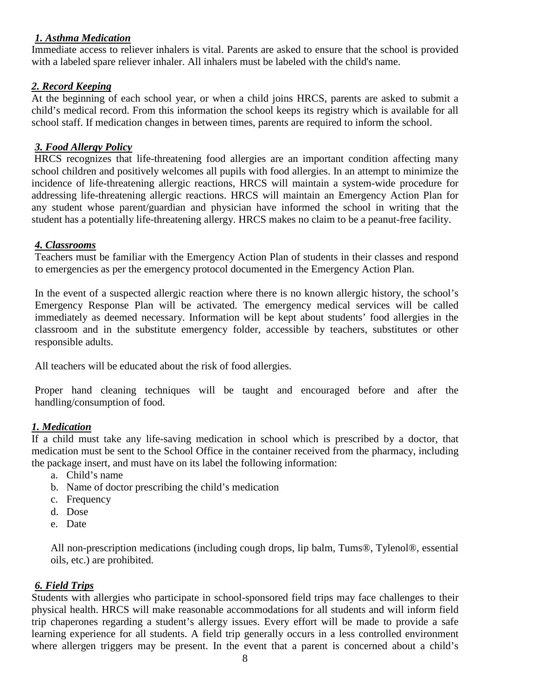#### *1. Asthma Medication*

Immediate access to reliever inhalers is vital. Parents are asked to ensure that the school is provided with a labeled spare reliever inhaler. All inhalers must be labeled with the child's name.

#### *2. Record Keeping*

At the beginning of each school year, or when a child joins HRCS, parents are asked to submit a child's medical record. From this information the school keeps its registry which is available for all school staff. If medication changes in between times, parents are required to inform the school.

#### *3. Food Allergy Policy*

HRCS recognizes that life-threatening food allergies are an important condition affecting many school children and positively welcomes all pupils with food allergies. In an attempt to minimize the incidence of life-threatening allergic reactions, HRCS will maintain a system-wide procedure for addressing life-threatening allergic reactions. HRCS will maintain an Emergency Action Plan for any student whose parent/guardian and physician have informed the school in writing that the student has a potentially life-threatening allergy. HRCS makes no claim to be a peanut-free facility.

#### *4. Classrooms*

Teachers must be familiar with the Emergency Action Plan of students in their classes and respond to emergencies as per the emergency protocol documented in the Emergency Action Plan.

In the event of a suspected allergic reaction where there is no known allergic history, the school's Emergency Response Plan will be activated. The emergency medical services will be called immediately as deemed necessary. Information will be kept about students' food allergies in the classroom and in the substitute emergency folder, accessible by teachers, substitutes or other responsible adults.

All teachers will be educated about the risk of food allergies.

Proper hand cleaning techniques will be taught and encouraged before and after the handling/consumption of food.

#### *1. Medication*

If a child must take any life-saving medication in school which is prescribed by a doctor, that medication must be sent to the School Office in the container received from the pharmacy, including the package insert, and must have on its label the following information:

- a. Child's name
- b. Name of doctor prescribing the child's medication
- c. Frequency
- d. Dose
- e. Date

All non-prescription medications (including cough drops, lip balm, Tums®, Tylenol®, essential oils, etc.) are prohibited.

#### *6. Field Trips*

Students with allergies who participate in school-sponsored field trips may face challenges to their physical health. HRCS will make reasonable accommodations for all students and will inform field trip chaperones regarding a student's allergy issues. Every effort will be made to provide a safe learning experience for all students. A field trip generally occurs in a less controlled environment where allergen triggers may be present. In the event that a parent is concerned about a child's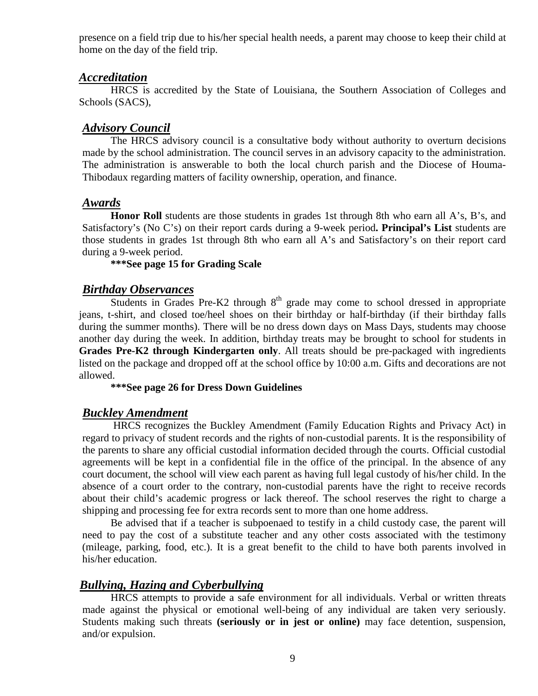presence on a field trip due to his/her special health needs, a parent may choose to keep their child at home on the day of the field trip.

#### *Accreditation*

HRCS is accredited by the State of Louisiana, the Southern Association of Colleges and Schools (SACS),

#### *Advisory Council*

The HRCS advisory council is a consultative body without authority to overturn decisions made by the school administration. The council serves in an advisory capacity to the administration. The administration is answerable to both the local church parish and the Diocese of Houma-Thibodaux regarding matters of facility ownership, operation, and finance.

#### *Awards*

**Honor Roll** students are those students in grades 1st through 8th who earn all A's, B's, and Satisfactory's (No C's) on their report cards during a 9-week period**. Principal's List** students are those students in grades 1st through 8th who earn all A's and Satisfactory's on their report card during a 9-week period.

#### **\*\*\*See page 15 for Grading Scale**

#### *Birthday Observances*

Students in Grades Pre-K2 through  $8<sup>th</sup>$  grade may come to school dressed in appropriate jeans, t-shirt, and closed toe/heel shoes on their birthday or half-birthday (if their birthday falls during the summer months). There will be no dress down days on Mass Days, students may choose another day during the week. In addition, birthday treats may be brought to school for students in **Grades Pre-K2 through Kindergarten only**. All treats should be pre-packaged with ingredients listed on the package and dropped off at the school office by 10:00 a.m. Gifts and decorations are not allowed.

#### **\*\*\*See page 26 for Dress Down Guidelines**

#### *Buckley Amendment*

HRCS recognizes the Buckley Amendment (Family Education Rights and Privacy Act) in regard to privacy of student records and the rights of non-custodial parents. It is the responsibility of the parents to share any official custodial information decided through the courts. Official custodial agreements will be kept in a confidential file in the office of the principal. In the absence of any court document, the school will view each parent as having full legal custody of his/her child. In the absence of a court order to the contrary, non-custodial parents have the right to receive records about their child's academic progress or lack thereof. The school reserves the right to charge a shipping and processing fee for extra records sent to more than one home address.

Be advised that if a teacher is subpoenaed to testify in a child custody case, the parent will need to pay the cost of a substitute teacher and any other costs associated with the testimony (mileage, parking, food, etc.). It is a great benefit to the child to have both parents involved in his/her education.

#### *Bullying, Hazing and Cyberbullying*

HRCS attempts to provide a safe environment for all individuals. Verbal or written threats made against the physical or emotional well-being of any individual are taken very seriously. Students making such threats **(seriously or in jest or online)** may face detention, suspension, and/or expulsion.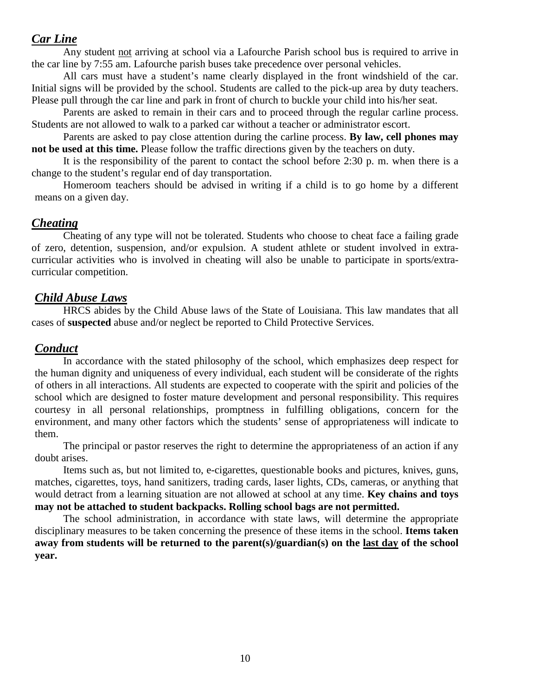#### *Car Line*

Any student not arriving at school via a Lafourche Parish school bus is required to arrive in the car line by 7:55 am. Lafourche parish buses take precedence over personal vehicles.

All cars must have a student's name clearly displayed in the front windshield of the car. Initial signs will be provided by the school. Students are called to the pick-up area by duty teachers. Please pull through the car line and park in front of church to buckle your child into his/her seat.

Parents are asked to remain in their cars and to proceed through the regular carline process. Students are not allowed to walk to a parked car without a teacher or administrator escort.

Parents are asked to pay close attention during the carline process. **By law, cell phones may not be used at this time.** Please follow the traffic directions given by the teachers on duty.

It is the responsibility of the parent to contact the school before 2:30 p. m. when there is a change to the student's regular end of day transportation.

Homeroom teachers should be advised in writing if a child is to go home by a different means on a given day.

#### *Cheating*

Cheating of any type will not be tolerated. Students who choose to cheat face a failing grade of zero, detention, suspension, and/or expulsion. A student athlete or student involved in extracurricular activities who is involved in cheating will also be unable to participate in sports/extracurricular competition.

#### *Child Abuse Laws*

HRCS abides by the Child Abuse laws of the State of Louisiana. This law mandates that all cases of **suspected** abuse and/or neglect be reported to Child Protective Services.

#### *Conduct*

In accordance with the stated philosophy of the school, which emphasizes deep respect for the human dignity and uniqueness of every individual, each student will be considerate of the rights of others in all interactions. All students are expected to cooperate with the spirit and policies of the school which are designed to foster mature development and personal responsibility. This requires courtesy in all personal relationships, promptness in fulfilling obligations, concern for the environment, and many other factors which the students' sense of appropriateness will indicate to them.

The principal or pastor reserves the right to determine the appropriateness of an action if any doubt arises.

Items such as, but not limited to, e-cigarettes, questionable books and pictures, knives, guns, matches, cigarettes, toys, hand sanitizers, trading cards, laser lights, CDs, cameras, or anything that would detract from a learning situation are not allowed at school at any time. **Key chains and toys may not be attached to student backpacks. Rolling school bags are not permitted.**

The school administration, in accordance with state laws, will determine the appropriate disciplinary measures to be taken concerning the presence of these items in the school. **Items taken away from students will be returned to the parent(s)/guardian(s) on the last day of the school year.**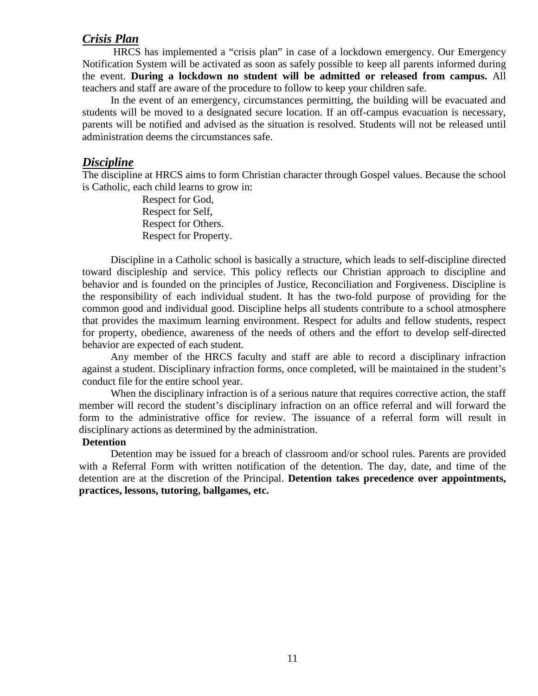#### *Crisis Plan*

HRCS has implemented a "crisis plan" in case of a lockdown emergency. Our Emergency Notification System will be activated as soon as safely possible to keep all parents informed during the event. **During a lockdown no student will be admitted or released from campus.** All teachers and staff are aware of the procedure to follow to keep your children safe.

In the event of an emergency, circumstances permitting, the building will be evacuated and students will be moved to a designated secure location. If an off-campus evacuation is necessary, parents will be notified and advised as the situation is resolved. Students will not be released until administration deems the circumstances safe.

#### *Discipline*

The discipline at HRCS aims to form Christian character through Gospel values. Because the school is Catholic, each child learns to grow in:

> Respect for God, Respect for Self, Respect for Others. Respect for Property.

Discipline in a Catholic school is basically a structure, which leads to self-discipline directed toward discipleship and service. This policy reflects our Christian approach to discipline and behavior and is founded on the principles of Justice, Reconciliation and Forgiveness. Discipline is the responsibility of each individual student. It has the two-fold purpose of providing for the common good and individual good. Discipline helps all students contribute to a school atmosphere that provides the maximum learning environment. Respect for adults and fellow students, respect for property, obedience, awareness of the needs of others and the effort to develop self-directed behavior are expected of each student.

Any member of the HRCS faculty and staff are able to record a disciplinary infraction against a student. Disciplinary infraction forms, once completed, will be maintained in the student's conduct file for the entire school year.

When the disciplinary infraction is of a serious nature that requires corrective action, the staff member will record the student's disciplinary infraction on an office referral and will forward the form to the administrative office for review. The issuance of a referral form will result in disciplinary actions as determined by the administration.

#### **Detention**

Detention may be issued for a breach of classroom and/or school rules. Parents are provided with a Referral Form with written notification of the detention. The day, date, and time of the detention are at the discretion of the Principal. **Detention takes precedence over appointments, practices, lessons, tutoring, ballgames, etc.**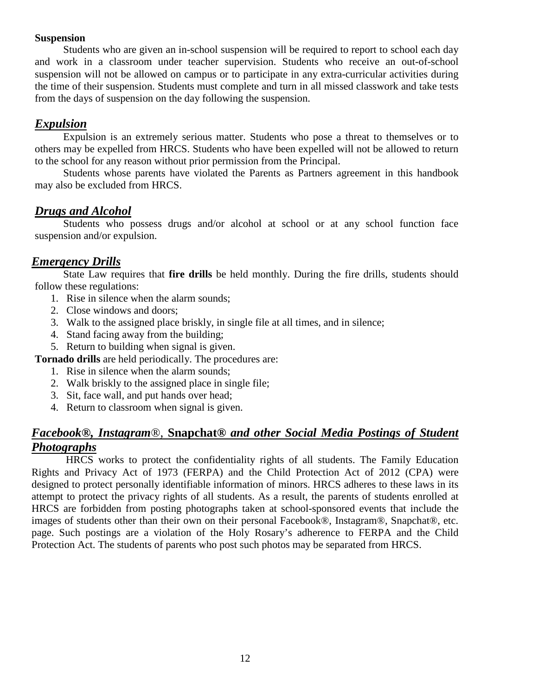#### **Suspension**

Students who are given an in-school suspension will be required to report to school each day and work in a classroom under teacher supervision. Students who receive an out-of-school suspension will not be allowed on campus or to participate in any extra-curricular activities during the time of their suspension. Students must complete and turn in all missed classwork and take tests from the days of suspension on the day following the suspension.

#### *Expulsion*

Expulsion is an extremely serious matter. Students who pose a threat to themselves or to others may be expelled from HRCS. Students who have been expelled will not be allowed to return to the school for any reason without prior permission from the Principal.

Students whose parents have violated the Parents as Partners agreement in this handbook may also be excluded from HRCS.

#### *Drugs and Alcohol*

Students who possess drugs and/or alcohol at school or at any school function face suspension and/or expulsion.

#### *Emergency Drills*

State Law requires that **fire drills** be held monthly. During the fire drills, students should follow these regulations:

- 1. Rise in silence when the alarm sounds;
- 2. Close windows and doors;
- 3. Walk to the assigned place briskly, in single file at all times, and in silence;
- 4. Stand facing away from the building;
- 5. Return to building when signal is given.

**Tornado drills** are held periodically. The procedures are:

- 1. Rise in silence when the alarm sounds;
- 2. Walk briskly to the assigned place in single file;
- 3. Sit, face wall, and put hands over head;
- 4. Return to classroom when signal is given.

#### *Facebook®, Instagram*®, **Snapchat®** *and other Social Media Postings of Student Photographs*

HRCS works to protect the confidentiality rights of all students. The Family Education Rights and Privacy Act of 1973 (FERPA) and the Child Protection Act of 2012 (CPA) were designed to protect personally identifiable information of minors. HRCS adheres to these laws in its attempt to protect the privacy rights of all students. As a result, the parents of students enrolled at HRCS are forbidden from posting photographs taken at school-sponsored events that include the images of students other than their own on their personal Facebook®, Instagram®, Snapchat®, etc. page. Such postings are a violation of the Holy Rosary's adherence to FERPA and the Child Protection Act. The students of parents who post such photos may be separated from HRCS.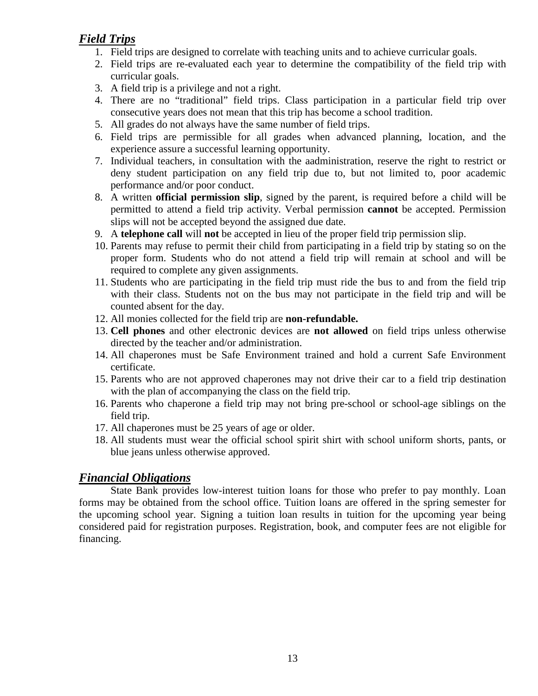#### *Field Trips*

- 1. Field trips are designed to correlate with teaching units and to achieve curricular goals.
- 2. Field trips are re-evaluated each year to determine the compatibility of the field trip with curricular goals.
- 3. A field trip is a privilege and not a right.
- 4. There are no "traditional" field trips. Class participation in a particular field trip over consecutive years does not mean that this trip has become a school tradition.
- 5. All grades do not always have the same number of field trips.
- 6. Field trips are permissible for all grades when advanced planning, location, and the experience assure a successful learning opportunity.
- 7. Individual teachers, in consultation with the aadministration, reserve the right to restrict or deny student participation on any field trip due to, but not limited to, poor academic performance and/or poor conduct.
- 8. A written **official permission slip**, signed by the parent, is required before a child will be permitted to attend a field trip activity. Verbal permission **cannot** be accepted. Permission slips will not be accepted beyond the assigned due date.
- 9. A **telephone call** will **not** be accepted in lieu of the proper field trip permission slip.
- 10. Parents may refuse to permit their child from participating in a field trip by stating so on the proper form. Students who do not attend a field trip will remain at school and will be required to complete any given assignments.
- 11. Students who are participating in the field trip must ride the bus to and from the field trip with their class. Students not on the bus may not participate in the field trip and will be counted absent for the day.
- 12. All monies collected for the field trip are **non-refundable.**
- 13. **Cell phones** and other electronic devices are **not allowed** on field trips unless otherwise directed by the teacher and/or administration.
- 14. All chaperones must be Safe Environment trained and hold a current Safe Environment certificate.
- 15. Parents who are not approved chaperones may not drive their car to a field trip destination with the plan of accompanying the class on the field trip.
- 16. Parents who chaperone a field trip may not bring pre-school or school-age siblings on the field trip.
- 17. All chaperones must be 25 years of age or older.
- 18. All students must wear the official school spirit shirt with school uniform shorts, pants, or blue jeans unless otherwise approved.

#### *Financial Obligations*

State Bank provides low-interest tuition loans for those who prefer to pay monthly. Loan forms may be obtained from the school office. Tuition loans are offered in the spring semester for the upcoming school year. Signing a tuition loan results in tuition for the upcoming year being considered paid for registration purposes. Registration, book, and computer fees are not eligible for financing.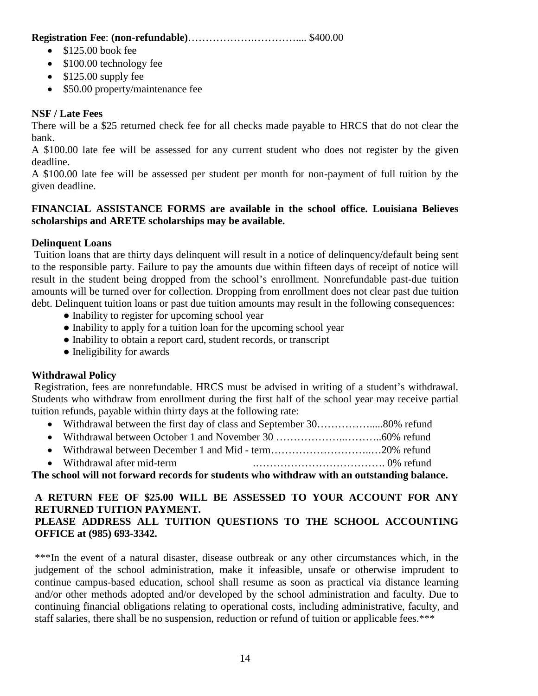**Registration Fee**: **(non-refundable)**……………….………….... \$400.00

- $\bullet$  \$125.00 book fee
- \$100.00 technology fee
- \$125.00 supply fee
- \$50.00 property/maintenance fee

#### **NSF / Late Fees**

There will be a \$25 returned check fee for all checks made payable to HRCS that do not clear the bank.

A \$100.00 late fee will be assessed for any current student who does not register by the given deadline.

A \$100.00 late fee will be assessed per student per month for non-payment of full tuition by the given deadline.

#### **FINANCIAL ASSISTANCE FORMS are available in the school office. Louisiana Believes scholarships and ARETE scholarships may be available.**

#### **Delinquent Loans**

Tuition loans that are thirty days delinquent will result in a notice of delinquency/default being sent to the responsible party. Failure to pay the amounts due within fifteen days of receipt of notice will result in the student being dropped from the school's enrollment. Nonrefundable past-due tuition amounts will be turned over for collection. Dropping from enrollment does not clear past due tuition debt. Delinquent tuition loans or past due tuition amounts may result in the following consequences:

- Inability to register for upcoming school year
- Inability to apply for a tuition loan for the upcoming school year
- Inability to obtain a report card, student records, or transcript
- Ineligibility for awards

#### **Withdrawal Policy**

Registration, fees are nonrefundable. HRCS must be advised in writing of a student's withdrawal. Students who withdraw from enrollment during the first half of the school year may receive partial tuition refunds, payable within thirty days at the following rate:

- Withdrawal between the first day of class and September 30…………….....80% refund
- Withdrawal between October 1 and November 30 ………………..………..60% refund
- Withdrawal between December 1 and Mid term………………………..…20% refund
- Withdrawal after mid-term .………………………………. 0% refund

**The school will not forward records for students who withdraw with an outstanding balance.**

#### **A RETURN FEE OF \$25.00 WILL BE ASSESSED TO YOUR ACCOUNT FOR ANY RETURNED TUITION PAYMENT. PLEASE ADDRESS ALL TUITION QUESTIONS TO THE SCHOOL ACCOUNTING**

#### **OFFICE at (985) 693-3342.**

\*\*\*In the event of a natural disaster, disease outbreak or any other circumstances which, in the judgement of the school administration, make it infeasible, unsafe or otherwise imprudent to continue campus-based education, school shall resume as soon as practical via distance learning and/or other methods adopted and/or developed by the school administration and faculty. Due to continuing financial obligations relating to operational costs, including administrative, faculty, and staff salaries, there shall be no suspension, reduction or refund of tuition or applicable fees.\*\*\*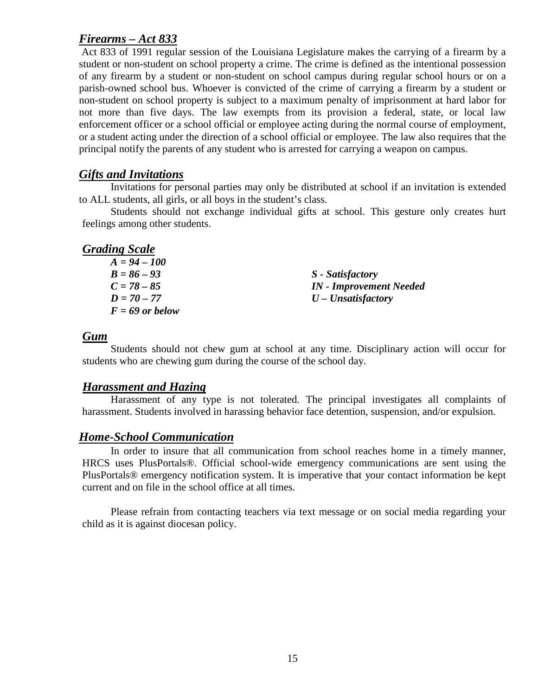#### *Firearms – Act 833*

Act 833 of 1991 regular session of the Louisiana Legislature makes the carrying of a firearm by a student or non-student on school property a crime. The crime is defined as the intentional possession of any firearm by a student or non-student on school campus during regular school hours or on a parish-owned school bus. Whoever is convicted of the crime of carrying a firearm by a student or non-student on school property is subject to a maximum penalty of imprisonment at hard labor for not more than five days. The law exempts from its provision a federal, state, or local law enforcement officer or a school official or employee acting during the normal course of employment, or a student acting under the direction of a school official or employee. The law also requires that the principal notify the parents of any student who is arrested for carrying a weapon on campus.

#### *Gifts and Invitations*

Invitations for personal parties may only be distributed at school if an invitation is extended to ALL students, all girls, or all boys in the student's class.

Students should not exchange individual gifts at school. This gesture only creates hurt feelings among other students.

#### *Grading Scale*

| $A = 94 - 100$    |                                       |
|-------------------|---------------------------------------|
| $B = 86 - 93$     | S - Satisfactory                      |
| $C = 78 - 85$     | <b>IN</b> - <b>Improvement</b> Needed |
| $D = 70 - 77$     | $U$ – Unsatisfactory                  |
| $F = 69$ or below |                                       |

#### *Gum*

Students should not chew gum at school at any time. Disciplinary action will occur for students who are chewing gum during the course of the school day.

#### *Harassment and Hazing*

Harassment of any type is not tolerated. The principal investigates all complaints of harassment. Students involved in harassing behavior face detention, suspension, and/or expulsion.

#### *Home-School Communication*

In order to insure that all communication from school reaches home in a timely manner, HRCS uses PlusPortals®. Official school-wide emergency communications are sent using the PlusPortals® emergency notification system. It is imperative that your contact information be kept current and on file in the school office at all times.

Please refrain from contacting teachers via text message or on social media regarding your child as it is against diocesan policy.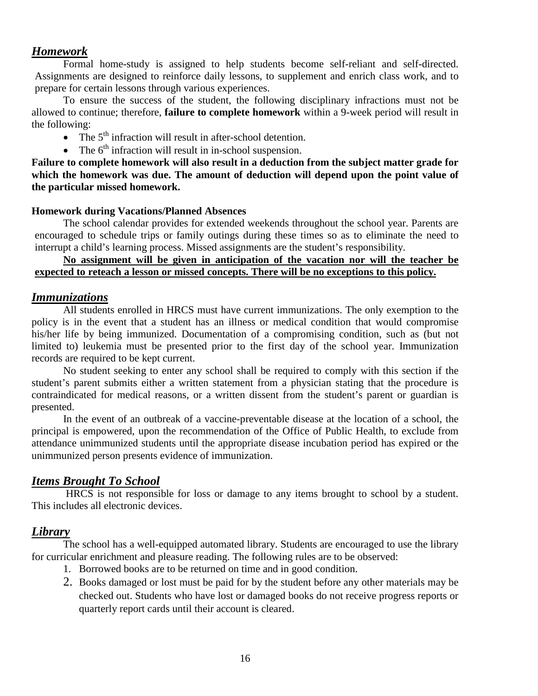#### *Homework*

Formal home-study is assigned to help students become self-reliant and self-directed. Assignments are designed to reinforce daily lessons, to supplement and enrich class work, and to prepare for certain lessons through various experiences.

To ensure the success of the student, the following disciplinary infractions must not be allowed to continue; therefore, **failure to complete homework** within a 9-week period will result in the following:

- The  $5<sup>th</sup>$  infraction will result in after-school detention.
- The  $6<sup>th</sup>$  infraction will result in in-school suspension.

**Failure to complete homework will also result in a deduction from the subject matter grade for which the homework was due. The amount of deduction will depend upon the point value of the particular missed homework.**

#### **Homework during Vacations/Planned Absences**

The school calendar provides for extended weekends throughout the school year. Parents are encouraged to schedule trips or family outings during these times so as to eliminate the need to interrupt a child's learning process. Missed assignments are the student's responsibility.

#### **No assignment will be given in anticipation of the vacation nor will the teacher be expected to reteach a lesson or missed concepts. There will be no exceptions to this policy.**

#### *Immunizations*

All students enrolled in HRCS must have current immunizations. The only exemption to the policy is in the event that a student has an illness or medical condition that would compromise his/her life by being immunized. Documentation of a compromising condition, such as (but not limited to) leukemia must be presented prior to the first day of the school year. Immunization records are required to be kept current.

No student seeking to enter any school shall be required to comply with this section if the student's parent submits either a written statement from a physician stating that the procedure is contraindicated for medical reasons, or a written dissent from the student's parent or guardian is presented.

In the event of an outbreak of a vaccine-preventable disease at the location of a school, the principal is empowered, upon the recommendation of the Office of Public Health, to exclude from attendance unimmunized students until the appropriate disease incubation period has expired or the unimmunized person presents evidence of immunization.

#### *Items Brought To School*

HRCS is not responsible for loss or damage to any items brought to school by a student. This includes all electronic devices.

#### *Library*

The school has a well-equipped automated library. Students are encouraged to use the library for curricular enrichment and pleasure reading. The following rules are to be observed:

- 1. Borrowed books are to be returned on time and in good condition.
- 2. Books damaged or lost must be paid for by the student before any other materials may be checked out. Students who have lost or damaged books do not receive progress reports or quarterly report cards until their account is cleared.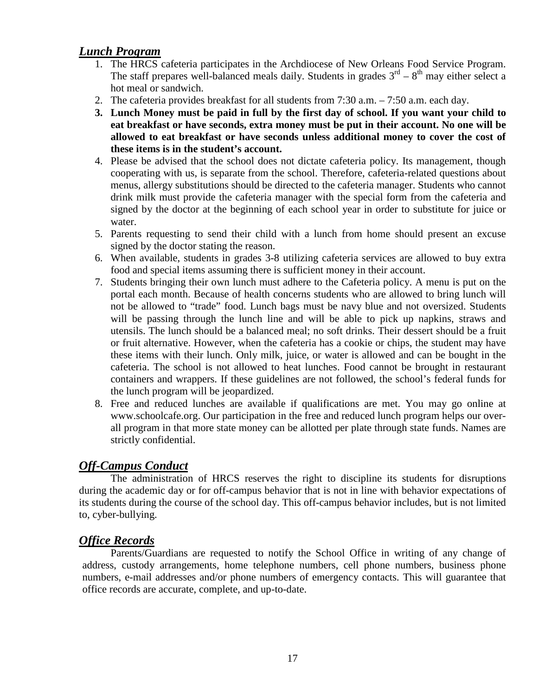#### *Lunch Program*

- 1. The HRCS cafeteria participates in the Archdiocese of New Orleans Food Service Program. The staff prepares well-balanced meals daily. Students in grades  $3^{rd} - 8^{th}$  may either select a hot meal or sandwich.
- 2. The cafeteria provides breakfast for all students from 7:30 a.m. 7:50 a.m. each day.
- **3. Lunch Money must be paid in full by the first day of school. If you want your child to eat breakfast or have seconds, extra money must be put in their account. No one will be allowed to eat breakfast or have seconds unless additional money to cover the cost of these items is in the student's account.**
- 4. Please be advised that the school does not dictate cafeteria policy. Its management, though cooperating with us, is separate from the school. Therefore, cafeteria-related questions about menus, allergy substitutions should be directed to the cafeteria manager. Students who cannot drink milk must provide the cafeteria manager with the special form from the cafeteria and signed by the doctor at the beginning of each school year in order to substitute for juice or water.
- 5. Parents requesting to send their child with a lunch from home should present an excuse signed by the doctor stating the reason.
- 6. When available, students in grades 3-8 utilizing cafeteria services are allowed to buy extra food and special items assuming there is sufficient money in their account.
- 7. Students bringing their own lunch must adhere to the Cafeteria policy. A menu is put on the portal each month. Because of health concerns students who are allowed to bring lunch will not be allowed to "trade" food. Lunch bags must be navy blue and not oversized. Students will be passing through the lunch line and will be able to pick up napkins, straws and utensils. The lunch should be a balanced meal; no soft drinks. Their dessert should be a fruit or fruit alternative. However, when the cafeteria has a cookie or chips, the student may have these items with their lunch. Only milk, juice, or water is allowed and can be bought in the cafeteria. The school is not allowed to heat lunches. Food cannot be brought in restaurant containers and wrappers. If these guidelines are not followed, the school's federal funds for the lunch program will be jeopardized.
- 8. Free and reduced lunches are available if qualifications are met. You may go online at www.schoolcafe.org. Our participation in the free and reduced lunch program helps our overall program in that more state money can be allotted per plate through state funds. Names are strictly confidential.

#### *Off-Campus Conduct*

The administration of HRCS reserves the right to discipline its students for disruptions during the academic day or for off-campus behavior that is not in line with behavior expectations of its students during the course of the school day. This off-campus behavior includes, but is not limited to, cyber-bullying.

#### *Office Records*

Parents/Guardians are requested to notify the School Office in writing of any change of address, custody arrangements, home telephone numbers, cell phone numbers, business phone numbers, e-mail addresses and/or phone numbers of emergency contacts. This will guarantee that office records are accurate, complete, and up-to-date.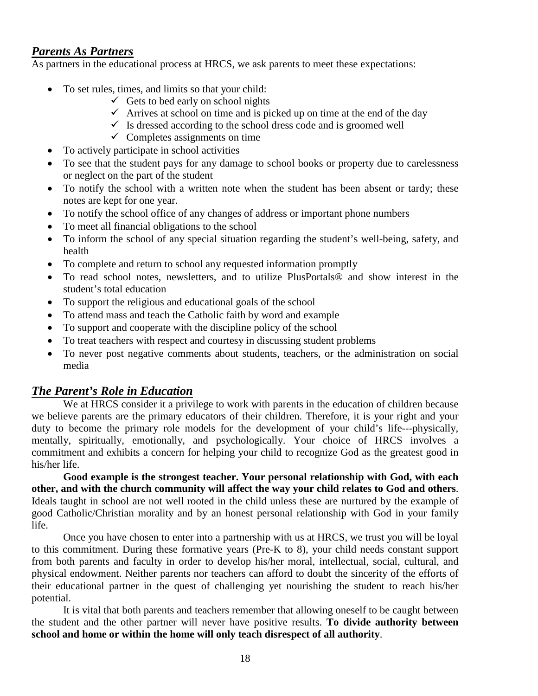#### *Parents As Partners*

As partners in the educational process at HRCS, we ask parents to meet these expectations:

- To set rules, times, and limits so that your child:
	- $\checkmark$  Gets to bed early on school nights
	- $\checkmark$  Arrives at school on time and is picked up on time at the end of the day
	- $\checkmark$  Is dressed according to the school dress code and is groomed well
	- $\checkmark$  Completes assignments on time
- To actively participate in school activities
- To see that the student pays for any damage to school books or property due to carelessness or neglect on the part of the student
- To notify the school with a written note when the student has been absent or tardy; these notes are kept for one year.
- To notify the school office of any changes of address or important phone numbers
- To meet all financial obligations to the school
- To inform the school of any special situation regarding the student's well-being, safety, and health
- To complete and return to school any requested information promptly
- To read school notes, newsletters, and to utilize PlusPortals® and show interest in the student's total education
- To support the religious and educational goals of the school
- To attend mass and teach the Catholic faith by word and example
- To support and cooperate with the discipline policy of the school
- To treat teachers with respect and courtesy in discussing student problems
- To never post negative comments about students, teachers, or the administration on social media

#### *The Parent's Role in Education*

We at HRCS consider it a privilege to work with parents in the education of children because we believe parents are the primary educators of their children. Therefore, it is your right and your duty to become the primary role models for the development of your child's life---physically, mentally, spiritually, emotionally, and psychologically. Your choice of HRCS involves a commitment and exhibits a concern for helping your child to recognize God as the greatest good in his/her life.

**Good example is the strongest teacher. Your personal relationship with God, with each other, and with the church community will affect the way your child relates to God and others**. Ideals taught in school are not well rooted in the child unless these are nurtured by the example of good Catholic/Christian morality and by an honest personal relationship with God in your family life.

Once you have chosen to enter into a partnership with us at HRCS, we trust you will be loyal to this commitment. During these formative years (Pre-K to 8), your child needs constant support from both parents and faculty in order to develop his/her moral, intellectual, social, cultural, and physical endowment. Neither parents nor teachers can afford to doubt the sincerity of the efforts of their educational partner in the quest of challenging yet nourishing the student to reach his/her potential.

It is vital that both parents and teachers remember that allowing oneself to be caught between the student and the other partner will never have positive results. **To divide authority between school and home or within the home will only teach disrespect of all authority**.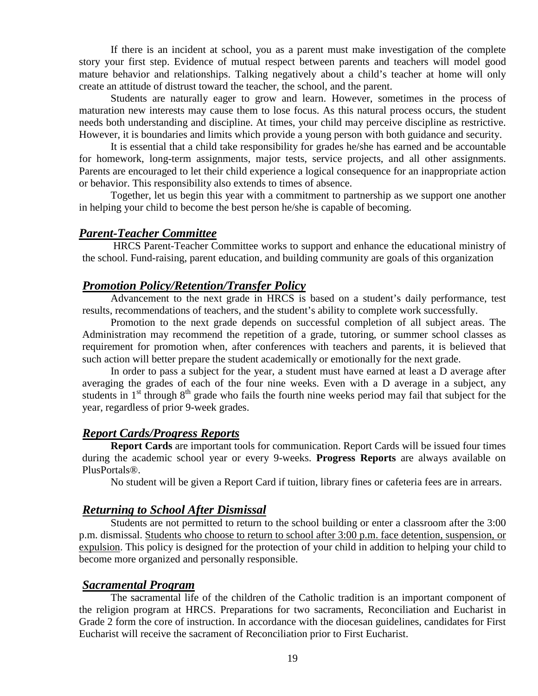If there is an incident at school, you as a parent must make investigation of the complete story your first step. Evidence of mutual respect between parents and teachers will model good mature behavior and relationships. Talking negatively about a child's teacher at home will only create an attitude of distrust toward the teacher, the school, and the parent.

Students are naturally eager to grow and learn. However, sometimes in the process of maturation new interests may cause them to lose focus. As this natural process occurs, the student needs both understanding and discipline. At times, your child may perceive discipline as restrictive. However, it is boundaries and limits which provide a young person with both guidance and security.

It is essential that a child take responsibility for grades he/she has earned and be accountable for homework, long-term assignments, major tests, service projects, and all other assignments. Parents are encouraged to let their child experience a logical consequence for an inappropriate action or behavior. This responsibility also extends to times of absence.

Together, let us begin this year with a commitment to partnership as we support one another in helping your child to become the best person he/she is capable of becoming.

#### *Parent-Teacher Committee*

HRCS Parent-Teacher Committee works to support and enhance the educational ministry of the school. Fund-raising, parent education, and building community are goals of this organization

#### *Promotion Policy/Retention/Transfer Policy*

Advancement to the next grade in HRCS is based on a student's daily performance, test results, recommendations of teachers, and the student's ability to complete work successfully.

Promotion to the next grade depends on successful completion of all subject areas. The Administration may recommend the repetition of a grade, tutoring, or summer school classes as requirement for promotion when, after conferences with teachers and parents, it is believed that such action will better prepare the student academically or emotionally for the next grade.

In order to pass a subject for the year, a student must have earned at least a D average after averaging the grades of each of the four nine weeks. Even with a D average in a subject, any students in  $1<sup>st</sup>$  through  $8<sup>th</sup>$  grade who fails the fourth nine weeks period may fail that subject for the year, regardless of prior 9-week grades.

#### *Report Cards/Progress Reports*

**Report Cards** are important tools for communication. Report Cards will be issued four times during the academic school year or every 9-weeks. **Progress Reports** are always available on PlusPortals®.

No student will be given a Report Card if tuition, library fines or cafeteria fees are in arrears.

#### *Returning to School After Dismissal*

Students are not permitted to return to the school building or enter a classroom after the 3:00 p.m. dismissal. Students who choose to return to school after 3:00 p.m. face detention, suspension, or expulsion. This policy is designed for the protection of your child in addition to helping your child to become more organized and personally responsible.

#### *Sacramental Program*

The sacramental life of the children of the Catholic tradition is an important component of the religion program at HRCS. Preparations for two sacraments, Reconciliation and Eucharist in Grade 2 form the core of instruction. In accordance with the diocesan guidelines, candidates for First Eucharist will receive the sacrament of Reconciliation prior to First Eucharist.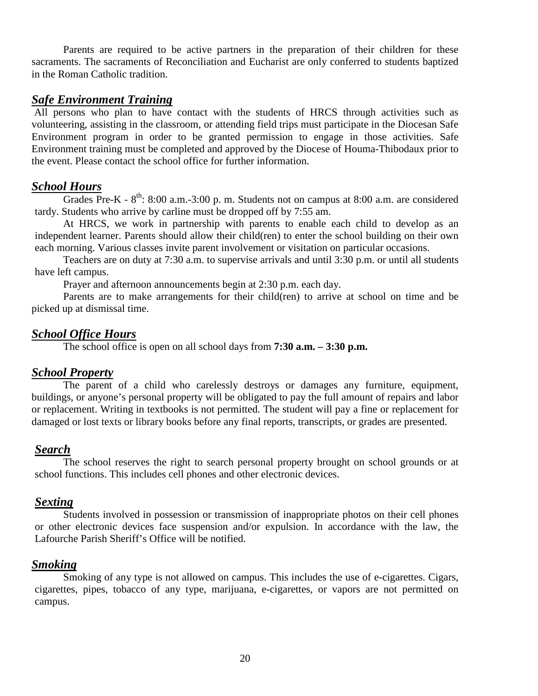Parents are required to be active partners in the preparation of their children for these sacraments. The sacraments of Reconciliation and Eucharist are only conferred to students baptized in the Roman Catholic tradition.

#### *Safe Environment Training*

All persons who plan to have contact with the students of HRCS through activities such as volunteering, assisting in the classroom, or attending field trips must participate in the Diocesan Safe Environment program in order to be granted permission to engage in those activities. Safe Environment training must be completed and approved by the Diocese of Houma-Thibodaux prior to the event. Please contact the school office for further information.

#### *School Hours*

Grades Pre-K -  $8^{th}$ : 8:00 a.m.-3:00 p.m. Students not on campus at 8:00 a.m. are considered tardy. Students who arrive by carline must be dropped off by 7:55 am.

At HRCS, we work in partnership with parents to enable each child to develop as an independent learner. Parents should allow their child(ren) to enter the school building on their own each morning. Various classes invite parent involvement or visitation on particular occasions.

Teachers are on duty at 7:30 a.m. to supervise arrivals and until 3:30 p.m. or until all students have left campus.

Prayer and afternoon announcements begin at 2:30 p.m. each day.

Parents are to make arrangements for their child(ren) to arrive at school on time and be picked up at dismissal time.

#### *School Office Hours*

The school office is open on all school days from **7:30 a.m. – 3:30 p.m.**

#### *School Property*

The parent of a child who carelessly destroys or damages any furniture, equipment, buildings, or anyone's personal property will be obligated to pay the full amount of repairs and labor or replacement. Writing in textbooks is not permitted. The student will pay a fine or replacement for damaged or lost texts or library books before any final reports, transcripts, or grades are presented.

#### *Search*

The school reserves the right to search personal property brought on school grounds or at school functions. This includes cell phones and other electronic devices.

#### *Sexting*

Students involved in possession or transmission of inappropriate photos on their cell phones or other electronic devices face suspension and/or expulsion. In accordance with the law, the Lafourche Parish Sheriff's Office will be notified.

#### *Smoking*

Smoking of any type is not allowed on campus. This includes the use of e-cigarettes. Cigars, cigarettes, pipes, tobacco of any type, marijuana, e-cigarettes, or vapors are not permitted on campus.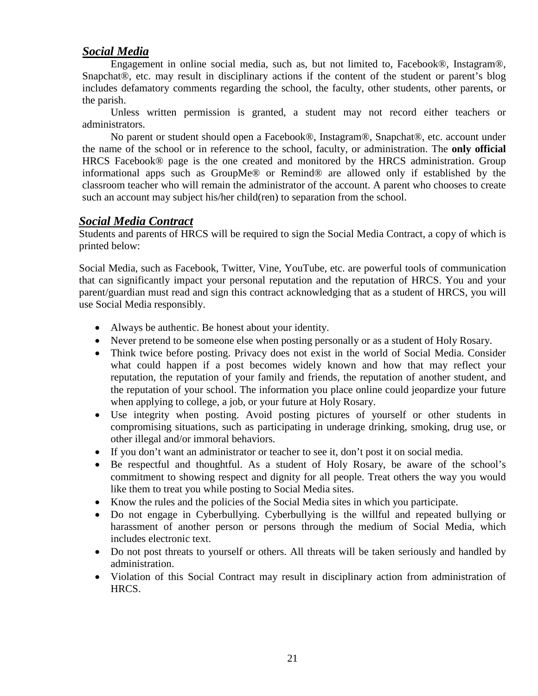#### *Social Media*

Engagement in online social media, such as, but not limited to, Facebook®, Instagram®, Snapchat®, etc. may result in disciplinary actions if the content of the student or parent's blog includes defamatory comments regarding the school, the faculty, other students, other parents, or the parish.

Unless written permission is granted, a student may not record either teachers or administrators.

No parent or student should open a Facebook®, Instagram®, Snapchat®, etc. account under the name of the school or in reference to the school, faculty, or administration. The **only official** HRCS Facebook® page is the one created and monitored by the HRCS administration. Group informational apps such as GroupMe® or Remind® are allowed only if established by the classroom teacher who will remain the administrator of the account. A parent who chooses to create such an account may subject his/her child(ren) to separation from the school.

#### *Social Media Contract*

Students and parents of HRCS will be required to sign the Social Media Contract, a copy of which is printed below:

Social Media, such as Facebook, Twitter, Vine, YouTube, etc. are powerful tools of communication that can significantly impact your personal reputation and the reputation of HRCS. You and your parent/guardian must read and sign this contract acknowledging that as a student of HRCS, you will use Social Media responsibly.

- Always be authentic. Be honest about your identity.
- Never pretend to be someone else when posting personally or as a student of Holy Rosary.
- Think twice before posting. Privacy does not exist in the world of Social Media. Consider what could happen if a post becomes widely known and how that may reflect your reputation, the reputation of your family and friends, the reputation of another student, and the reputation of your school. The information you place online could jeopardize your future when applying to college, a job, or your future at Holy Rosary.
- Use integrity when posting. Avoid posting pictures of yourself or other students in compromising situations, such as participating in underage drinking, smoking, drug use, or other illegal and/or immoral behaviors.
- If you don't want an administrator or teacher to see it, don't post it on social media.
- Be respectful and thoughtful. As a student of Holy Rosary, be aware of the school's commitment to showing respect and dignity for all people. Treat others the way you would like them to treat you while posting to Social Media sites.
- Know the rules and the policies of the Social Media sites in which you participate.
- Do not engage in Cyberbullying. Cyberbullying is the willful and repeated bullying or harassment of another person or persons through the medium of Social Media, which includes electronic text.
- Do not post threats to yourself or others. All threats will be taken seriously and handled by administration.
- Violation of this Social Contract may result in disciplinary action from administration of HRCS.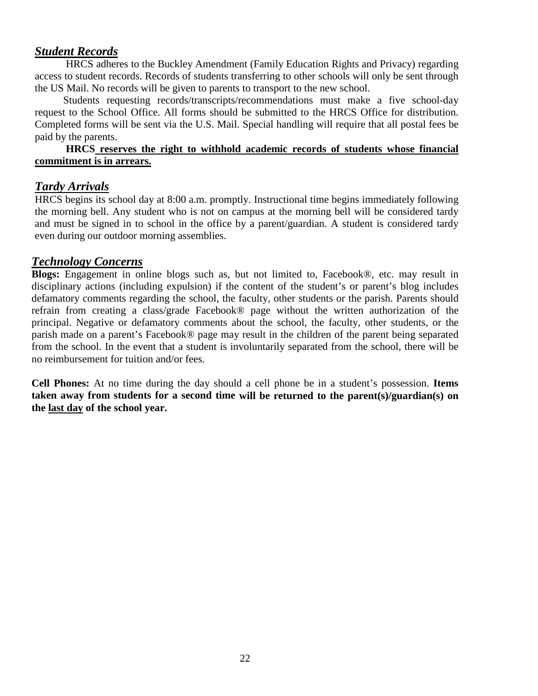#### *Student Records*

HRCS adheres to the Buckley Amendment (Family Education Rights and Privacy) regarding access to student records. Records of students transferring to other schools will only be sent through the US Mail. No records will be given to parents to transport to the new school.

Students requesting records/transcripts/recommendations must make a five school-day request to the School Office. All forms should be submitted to the HRCS Office for distribution. Completed forms will be sent via the U.S. Mail. Special handling will require that all postal fees be paid by the parents.

#### **HRCS reserves the right to withhold academic records of students whose financial commitment is in arrears.**

#### *Tardy Arrivals*

HRCS begins its school day at 8:00 a.m. promptly. Instructional time begins immediately following the morning bell. Any student who is not on campus at the morning bell will be considered tardy and must be signed in to school in the office by a parent/guardian. A student is considered tardy even during our outdoor morning assemblies.

#### *Technology Concerns*

**Blogs:** Engagement in online blogs such as, but not limited to, Facebook®, etc. may result in disciplinary actions (including expulsion) if the content of the student's or parent's blog includes defamatory comments regarding the school, the faculty, other students or the parish. Parents should refrain from creating a class/grade Facebook® page without the written authorization of the principal. Negative or defamatory comments about the school, the faculty, other students, or the parish made on a parent's Facebook® page may result in the children of the parent being separated from the school. In the event that a student is involuntarily separated from the school, there will be no reimbursement for tuition and/or fees.

**Cell Phones:** At no time during the day should a cell phone be in a student's possession. **Items taken away from students for a second time will be returned to the parent(s)/guardian(s) on the last day of the school year.**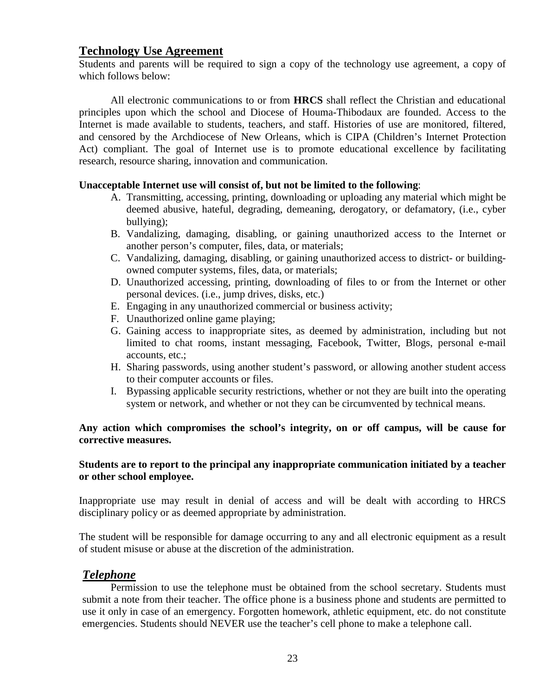#### **Technology Use Agreement**

Students and parents will be required to sign a copy of the technology use agreement, a copy of which follows below:

All electronic communications to or from **HRCS** shall reflect the Christian and educational principles upon which the school and Diocese of Houma-Thibodaux are founded. Access to the Internet is made available to students, teachers, and staff. Histories of use are monitored, filtered, and censored by the Archdiocese of New Orleans, which is CIPA (Children's Internet Protection Act) compliant. The goal of Internet use is to promote educational excellence by facilitating research, resource sharing, innovation and communication.

#### **Unacceptable Internet use will consist of, but not be limited to the following**:

- A. Transmitting, accessing, printing, downloading or uploading any material which might be deemed abusive, hateful, degrading, demeaning, derogatory, or defamatory, (i.e., cyber bullying);
- B. Vandalizing, damaging, disabling, or gaining unauthorized access to the Internet or another person's computer, files, data, or materials;
- C. Vandalizing, damaging, disabling, or gaining unauthorized access to district- or buildingowned computer systems, files, data, or materials;
- D. Unauthorized accessing, printing, downloading of files to or from the Internet or other personal devices. (i.e., jump drives, disks, etc.)
- E. Engaging in any unauthorized commercial or business activity;
- F. Unauthorized online game playing;
- G. Gaining access to inappropriate sites, as deemed by administration, including but not limited to chat rooms, instant messaging, Facebook, Twitter, Blogs, personal e-mail accounts, etc.;
- H. Sharing passwords, using another student's password, or allowing another student access to their computer accounts or files.
- I. Bypassing applicable security restrictions, whether or not they are built into the operating system or network, and whether or not they can be circumvented by technical means.

#### **Any action which compromises the school's integrity, on or off campus, will be cause for corrective measures.**

#### **Students are to report to the principal any inappropriate communication initiated by a teacher or other school employee.**

Inappropriate use may result in denial of access and will be dealt with according to HRCS disciplinary policy or as deemed appropriate by administration.

The student will be responsible for damage occurring to any and all electronic equipment as a result of student misuse or abuse at the discretion of the administration.

#### *Telephone*

Permission to use the telephone must be obtained from the school secretary. Students must submit a note from their teacher. The office phone is a business phone and students are permitted to use it only in case of an emergency. Forgotten homework, athletic equipment, etc. do not constitute emergencies. Students should NEVER use the teacher's cell phone to make a telephone call.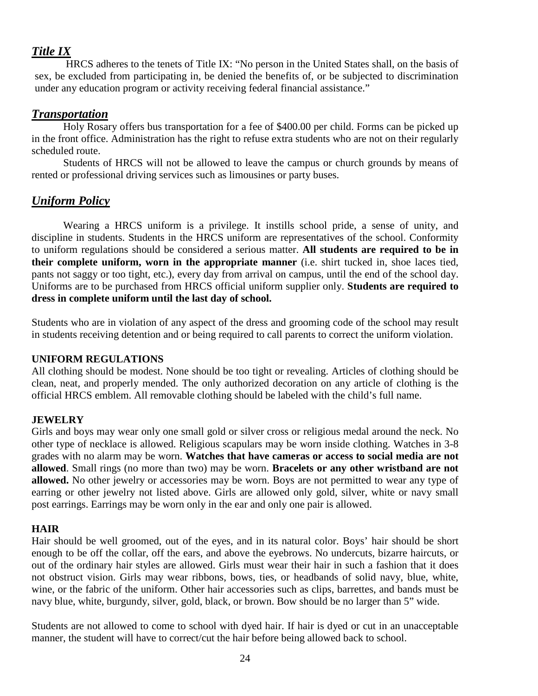#### *Title IX*

HRCS adheres to the tenets of Title IX: "No person in the United States shall, on the basis of sex, be excluded from participating in, be denied the benefits of, or be subjected to discrimination under any education program or activity receiving federal financial assistance."

#### *Transportation*

Holy Rosary offers bus transportation for a fee of \$400.00 per child. Forms can be picked up in the front office. Administration has the right to refuse extra students who are not on their regularly scheduled route.

Students of HRCS will not be allowed to leave the campus or church grounds by means of rented or professional driving services such as limousines or party buses.

#### *Uniform Policy*

Wearing a HRCS uniform is a privilege. It instills school pride, a sense of unity, and discipline in students. Students in the HRCS uniform are representatives of the school. Conformity to uniform regulations should be considered a serious matter. **All students are required to be in their complete uniform, worn in the appropriate manner** (i.e. shirt tucked in, shoe laces tied, pants not saggy or too tight, etc.), every day from arrival on campus, until the end of the school day. Uniforms are to be purchased from HRCS official uniform supplier only. **Students are required to dress in complete uniform until the last day of school.**

Students who are in violation of any aspect of the dress and grooming code of the school may result in students receiving detention and or being required to call parents to correct the uniform violation.

#### **UNIFORM REGULATIONS**

All clothing should be modest. None should be too tight or revealing. Articles of clothing should be clean, neat, and properly mended. The only authorized decoration on any article of clothing is the official HRCS emblem. All removable clothing should be labeled with the child's full name.

#### **JEWELRY**

Girls and boys may wear only one small gold or silver cross or religious medal around the neck. No other type of necklace is allowed. Religious scapulars may be worn inside clothing. Watches in 3-8 grades with no alarm may be worn. **Watches that have cameras or access to social media are not allowed**. Small rings (no more than two) may be worn. **Bracelets or any other wristband are not allowed.** No other jewelry or accessories may be worn. Boys are not permitted to wear any type of earring or other jewelry not listed above. Girls are allowed only gold, silver, white or navy small post earrings. Earrings may be worn only in the ear and only one pair is allowed.

#### **HAIR**

Hair should be well groomed, out of the eyes, and in its natural color. Boys' hair should be short enough to be off the collar, off the ears, and above the eyebrows. No undercuts, bizarre haircuts, or out of the ordinary hair styles are allowed. Girls must wear their hair in such a fashion that it does not obstruct vision. Girls may wear ribbons, bows, ties, or headbands of solid navy, blue, white, wine, or the fabric of the uniform. Other hair accessories such as clips, barrettes, and bands must be navy blue, white, burgundy, silver, gold, black, or brown. Bow should be no larger than 5" wide.

Students are not allowed to come to school with dyed hair. If hair is dyed or cut in an unacceptable manner, the student will have to correct/cut the hair before being allowed back to school.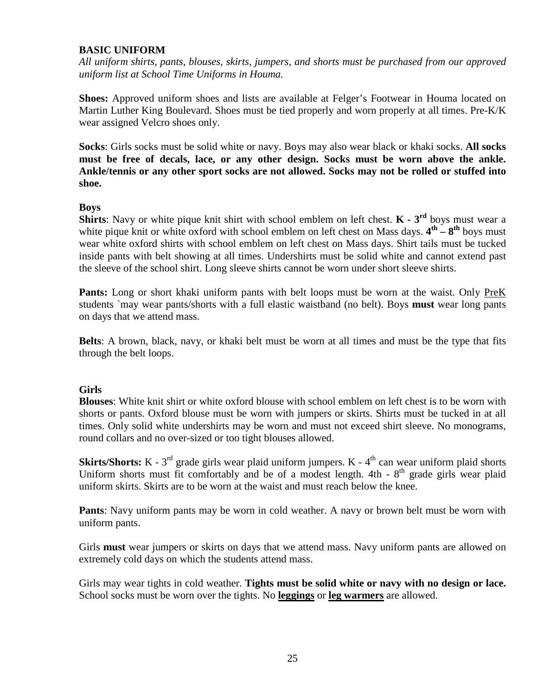#### **BASIC UNIFORM**

*All uniform shirts, pants, blouses, skirts, jumpers, and shorts must be purchased from our approved uniform list at School Time Uniforms in Houma.*

**Shoes:** Approved uniform shoes and lists are available at Felger's Footwear in Houma located on Martin Luther King Boulevard. Shoes must be tied properly and worn properly at all times. Pre-K/K wear assigned Velcro shoes only.

**Socks**: Girls socks must be solid white or navy. Boys may also wear black or khaki socks. **All socks must be free of decals, lace, or any other design. Socks must be worn above the ankle. Ankle/tennis or any other sport socks are not allowed. Socks may not be rolled or stuffed into shoe.**

#### **Boys**

**Shirts**: Navy or white pique knit shirt with school emblem on left chest. **K - 3rd** boys must wear a white pique knit or white oxford with school emblem on left chest on Mass days.  $4^{th} - 8^{th}$  boys must wear white oxford shirts with school emblem on left chest on Mass days. Shirt tails must be tucked inside pants with belt showing at all times. Undershirts must be solid white and cannot extend past the sleeve of the school shirt. Long sleeve shirts cannot be worn under short sleeve shirts.

**Pants:** Long or short khaki uniform pants with belt loops must be worn at the waist. Only PreK students `may wear pants/shorts with a full elastic waistband (no belt). Boys **must** wear long pants on days that we attend mass.

**Belts**: A brown, black, navy, or khaki belt must be worn at all times and must be the type that fits through the belt loops.

#### **Girls**

**Blouses**: White knit shirt or white oxford blouse with school emblem on left chest is to be worn with shorts or pants. Oxford blouse must be worn with jumpers or skirts. Shirts must be tucked in at all times. Only solid white undershirts may be worn and must not exceed shirt sleeve. No monograms, round collars and no over-sized or too tight blouses allowed.

**Skirts/Shorts:**  $K - 3<sup>rd</sup>$  grade girls wear plaid uniform jumpers.  $K - 4<sup>th</sup>$  can wear uniform plaid shorts Uniform shorts must fit comfortably and be of a modest length.  $4th - 8<sup>th</sup>$  grade girls wear plaid uniform skirts. Skirts are to be worn at the waist and must reach below the knee.

**Pants**: Navy uniform pants may be worn in cold weather. A navy or brown belt must be worn with uniform pants.

Girls **must** wear jumpers or skirts on days that we attend mass. Navy uniform pants are allowed on extremely cold days on which the students attend mass.

Girls may wear tights in cold weather. **Tights must be solid white or navy with no design or lace.** School socks must be worn over the tights. No **leggings** or **leg warmers** are allowed.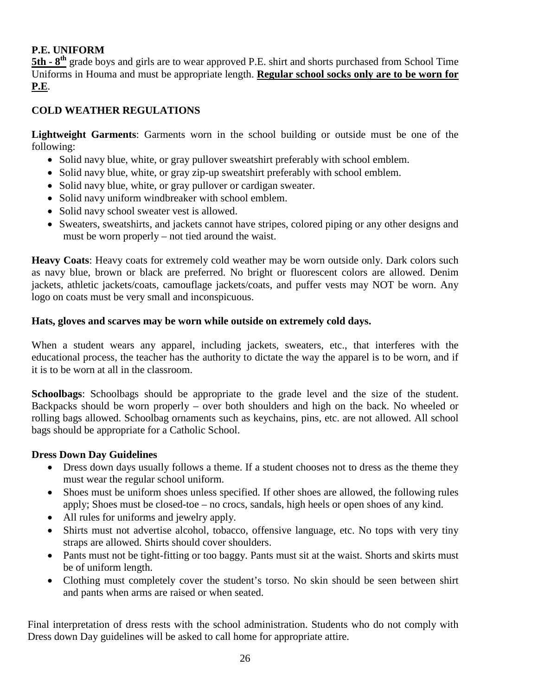#### **P.E. UNIFORM**

**5th -**  $8<sup>th</sup>$  grade boys and girls are to wear approved P.E. shirt and shorts purchased from School Time Uniforms in Houma and must be appropriate length. **Regular school socks only are to be worn for P.E**.

#### **COLD WEATHER REGULATIONS**

**Lightweight Garments**: Garments worn in the school building or outside must be one of the following:

- Solid navy blue, white, or gray pullover sweatshirt preferably with school emblem.
- Solid navy blue, white, or gray zip-up sweatshirt preferably with school emblem.
- Solid navy blue, white, or gray pullover or cardigan sweater.
- Solid navy uniform windbreaker with school emblem.
- Solid navy school sweater vest is allowed.
- Sweaters, sweatshirts, and jackets cannot have stripes, colored piping or any other designs and must be worn properly – not tied around the waist.

**Heavy Coats**: Heavy coats for extremely cold weather may be worn outside only. Dark colors such as navy blue, brown or black are preferred. No bright or fluorescent colors are allowed. Denim jackets, athletic jackets/coats, camouflage jackets/coats, and puffer vests may NOT be worn. Any logo on coats must be very small and inconspicuous.

#### **Hats, gloves and scarves may be worn while outside on extremely cold days.**

When a student wears any apparel, including jackets, sweaters, etc., that interferes with the educational process, the teacher has the authority to dictate the way the apparel is to be worn, and if it is to be worn at all in the classroom.

**Schoolbags**: Schoolbags should be appropriate to the grade level and the size of the student. Backpacks should be worn properly – over both shoulders and high on the back. No wheeled or rolling bags allowed. Schoolbag ornaments such as keychains, pins, etc. are not allowed. All school bags should be appropriate for a Catholic School.

#### **Dress Down Day Guidelines**

- Dress down days usually follows a theme. If a student chooses not to dress as the theme they must wear the regular school uniform.
- Shoes must be uniform shoes unless specified. If other shoes are allowed, the following rules apply; Shoes must be closed-toe – no crocs, sandals, high heels or open shoes of any kind.
- All rules for uniforms and jewelry apply.
- Shirts must not advertise alcohol, tobacco, offensive language, etc. No tops with very tiny straps are allowed. Shirts should cover shoulders.
- Pants must not be tight-fitting or too baggy. Pants must sit at the waist. Shorts and skirts must be of uniform length.
- Clothing must completely cover the student's torso. No skin should be seen between shirt and pants when arms are raised or when seated.

Final interpretation of dress rests with the school administration. Students who do not comply with Dress down Day guidelines will be asked to call home for appropriate attire.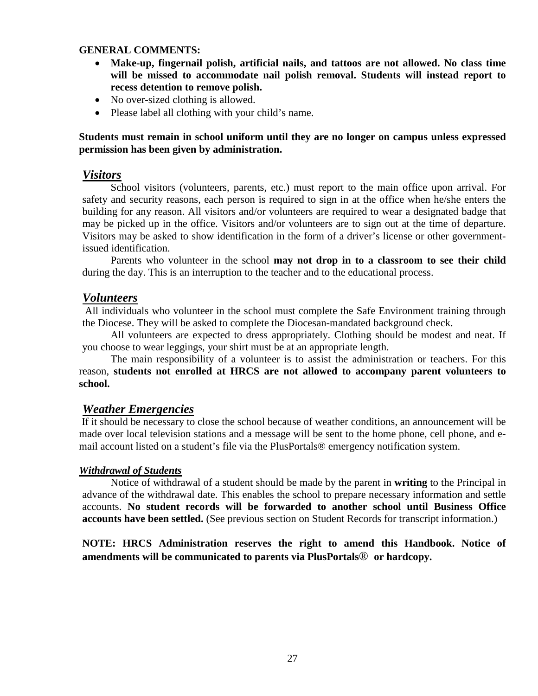#### **GENERAL COMMENTS:**

- **Make-up, fingernail polish, artificial nails, and tattoos are not allowed. No class time will be missed to accommodate nail polish removal. Students will instead report to recess detention to remove polish.**
- No over-sized clothing is allowed.
- Please label all clothing with your child's name.

#### **Students must remain in school uniform until they are no longer on campus unless expressed permission has been given by administration.**

#### *Visitors*

School visitors (volunteers, parents, etc.) must report to the main office upon arrival. For safety and security reasons, each person is required to sign in at the office when he/she enters the building for any reason. All visitors and/or volunteers are required to wear a designated badge that may be picked up in the office. Visitors and/or volunteers are to sign out at the time of departure. Visitors may be asked to show identification in the form of a driver's license or other governmentissued identification.

Parents who volunteer in the school **may not drop in to a classroom to see their child** during the day. This is an interruption to the teacher and to the educational process.

#### *Volunteers*

All individuals who volunteer in the school must complete the Safe Environment training through the Diocese. They will be asked to complete the Diocesan-mandated background check.

All volunteers are expected to dress appropriately. Clothing should be modest and neat. If you choose to wear leggings, your shirt must be at an appropriate length.

The main responsibility of a volunteer is to assist the administration or teachers. For this reason, **students not enrolled at HRCS are not allowed to accompany parent volunteers to school.**

#### *Weather Emergencies*

If it should be necessary to close the school because of weather conditions, an announcement will be made over local television stations and a message will be sent to the home phone, cell phone, and email account listed on a student's file via the PlusPortals® emergency notification system.

#### *Withdrawal of Students*

Notice of withdrawal of a student should be made by the parent in **writing** to the Principal in advance of the withdrawal date. This enables the school to prepare necessary information and settle accounts. **No student records will be forwarded to another school until Business Office accounts have been settled.** (See previous section on Student Records for transcript information.)

**NOTE: HRCS Administration reserves the right to amend this Handbook. Notice of amendments will be communicated to parents via PlusPortals**® **or hardcopy.**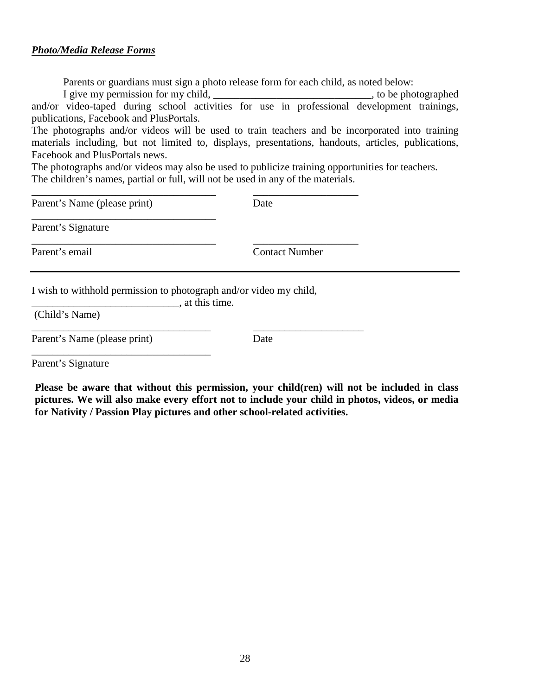#### *Photo/Media Release Forms*

Parents or guardians must sign a photo release form for each child, as noted below:

I give my permission for my child, \_\_\_\_\_\_\_\_\_\_\_\_\_\_\_\_\_\_\_\_\_\_\_\_\_\_\_\_\_\_\_\_, to be photographed and/or video-taped during school activities for use in professional development trainings, publications, Facebook and PlusPortals.

The photographs and/or videos will be used to train teachers and be incorporated into training materials including, but not limited to, displays, presentations, handouts, articles, publications, Facebook and PlusPortals news.

The photographs and/or videos may also be used to publicize training opportunities for teachers. The children's names, partial or full, will not be used in any of the materials.

| Parent's Name (please print)                                       | Date                  |  |
|--------------------------------------------------------------------|-----------------------|--|
| Parent's Signature                                                 |                       |  |
| Parent's email                                                     | <b>Contact Number</b> |  |
| I wish to withhold permission to photograph and/or video my child, | , at this time.       |  |

\_\_\_\_\_\_\_\_\_\_\_\_\_\_\_\_\_\_\_\_\_\_\_\_\_\_\_\_\_\_\_\_\_\_ \_\_\_\_\_\_\_\_\_\_\_\_\_\_\_\_\_\_\_\_\_

(Child's Name)

Parent's Name (please print) Date

\_\_\_\_\_\_\_\_\_\_\_\_\_\_\_\_\_\_\_\_\_\_\_\_\_\_\_\_\_\_\_\_\_\_

Parent's Signature

**Please be aware that without this permission, your child(ren) will not be included in class pictures. We will also make every effort not to include your child in photos, videos, or media for Nativity / Passion Play pictures and other school-related activities.**